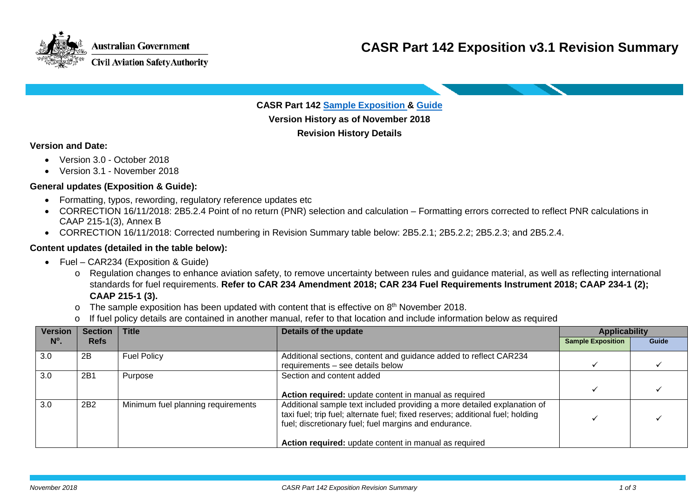

**CASR Part 142 [Sample Exposition &](https://www.casa.gov.au/files/casr-part-142-sample-exposition-v30) [Guide](https://www.casa.gov.au/files/guide-part-142-sample-exposition-v30)**

**Version History as of November 2018 Revision History Details**

#### **Version and Date:**

- Version 3.0 October 2018
- Version 3.1 November 2018

### **General updates (Exposition & Guide):**

- Formatting, typos, rewording, regulatory reference updates etc
- CORRECTION 16/11/2018: 2B5.2.4 Point of no return (PNR) selection and calculation Formatting errors corrected to reflect PNR calculations in CAAP 215-1(3), Annex B
- CORRECTION 16/11/2018: Corrected numbering in Revision Summary table below: 2B5.2.1; 2B5.2.2; 2B5.2.3; and 2B5.2.4.

### **Content updates (detailed in the table below):**

**Australian Government** 

**Civil Aviation Safety Authority** 

- Fuel CAR234 (Exposition & Guide)
	- o Regulation changes to enhance aviation safety, to remove uncertainty between rules and guidance material, as well as reflecting international standards for fuel requirements. **Refer to CAR 234 Amendment 2018; CAR 234 Fuel Requirements Instrument 2018; CAAP 234-1 (2); CAAP 215-1 (3).**
	- $\circ$  The sample exposition has been updated with content that is effective on 8<sup>th</sup> November 2018.
	- o If fuel policy details are contained in another manual, refer to that location and include information below as required

| <b>Version</b> | Section   Title |                                    | Details of the update                                                                                                                                                                                               | <b>Applicability</b>     |       |
|----------------|-----------------|------------------------------------|---------------------------------------------------------------------------------------------------------------------------------------------------------------------------------------------------------------------|--------------------------|-------|
| $N^{\circ}$ .  | <b>Refs</b>     |                                    |                                                                                                                                                                                                                     | <b>Sample Exposition</b> | Guide |
| 3.0            | 2B              | <b>Fuel Policy</b>                 | Additional sections, content and guidance added to reflect CAR234<br>requirements – see details below                                                                                                               |                          |       |
| 3.0            | 2B1             | Purpose                            | Section and content added                                                                                                                                                                                           |                          |       |
|                |                 |                                    | Action required: update content in manual as required                                                                                                                                                               |                          |       |
| 3.0            | 2B2             | Minimum fuel planning requirements | Additional sample text included providing a more detailed explanation of<br>taxi fuel; trip fuel; alternate fuel; fixed reserves; additional fuel; holding<br>fuel; discretionary fuel; fuel margins and endurance. |                          |       |
|                |                 |                                    | Action required: update content in manual as required                                                                                                                                                               |                          |       |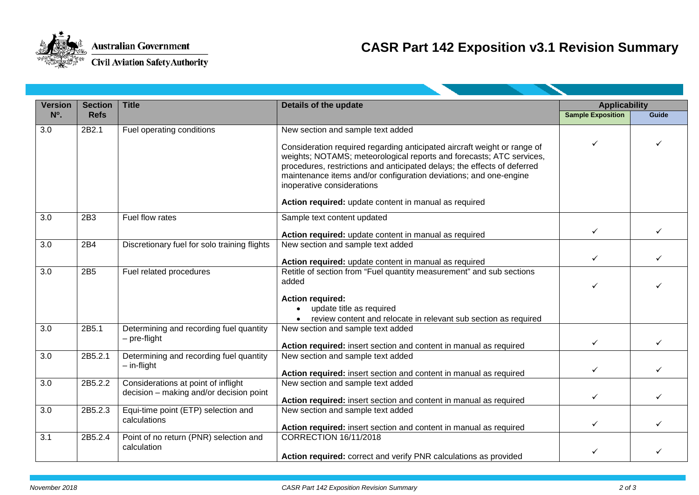

# **CASR Part 142 Exposition v3.1 Revision Summary**

| <b>Version</b><br>$N^{\circ}$ . | <b>Section</b><br><b>Refs</b> | <b>Title</b>                                            | Details of the update                                                                                                                                                                                                                                                                                                           | <b>Applicability</b>     |              |  |  |  |
|---------------------------------|-------------------------------|---------------------------------------------------------|---------------------------------------------------------------------------------------------------------------------------------------------------------------------------------------------------------------------------------------------------------------------------------------------------------------------------------|--------------------------|--------------|--|--|--|
|                                 |                               |                                                         |                                                                                                                                                                                                                                                                                                                                 | <b>Sample Exposition</b> | Guide        |  |  |  |
| 3.0                             | 2B2.1                         | Fuel operating conditions                               | New section and sample text added                                                                                                                                                                                                                                                                                               |                          |              |  |  |  |
|                                 |                               |                                                         | Consideration required regarding anticipated aircraft weight or range of<br>weights; NOTAMS; meteorological reports and forecasts; ATC services,<br>procedures, restrictions and anticipated delays; the effects of deferred<br>maintenance items and/or configuration deviations; and one-engine<br>inoperative considerations | ✓                        |              |  |  |  |
|                                 |                               |                                                         | Action required: update content in manual as required                                                                                                                                                                                                                                                                           |                          |              |  |  |  |
| 3.0                             | 2B <sub>3</sub>               | Fuel flow rates                                         | Sample text content updated                                                                                                                                                                                                                                                                                                     |                          |              |  |  |  |
|                                 |                               |                                                         | Action required: update content in manual as required                                                                                                                                                                                                                                                                           | $\checkmark$             | ✓            |  |  |  |
| 3.0                             | 2B4                           | Discretionary fuel for solo training flights            | New section and sample text added                                                                                                                                                                                                                                                                                               |                          |              |  |  |  |
|                                 |                               |                                                         | Action required: update content in manual as required                                                                                                                                                                                                                                                                           | $\checkmark$             |              |  |  |  |
| 3.0                             | 2B <sub>5</sub>               | Fuel related procedures                                 | Retitle of section from "Fuel quantity measurement" and sub sections<br>added                                                                                                                                                                                                                                                   |                          |              |  |  |  |
|                                 |                               |                                                         | <b>Action required:</b>                                                                                                                                                                                                                                                                                                         |                          |              |  |  |  |
|                                 |                               |                                                         | • update title as required                                                                                                                                                                                                                                                                                                      |                          |              |  |  |  |
|                                 |                               |                                                         | review content and relocate in relevant sub section as required                                                                                                                                                                                                                                                                 |                          |              |  |  |  |
| 3.0                             | 2B5.1                         | Determining and recording fuel quantity<br>– pre-flight | New section and sample text added                                                                                                                                                                                                                                                                                               |                          |              |  |  |  |
|                                 |                               |                                                         | Action required: insert section and content in manual as required                                                                                                                                                                                                                                                               | $\checkmark$             | ✓            |  |  |  |
| $\overline{3.0}$                | 2B5.2.1                       | Determining and recording fuel quantity                 | New section and sample text added                                                                                                                                                                                                                                                                                               |                          |              |  |  |  |
|                                 |                               | $-$ in-flight                                           | Action required: insert section and content in manual as required                                                                                                                                                                                                                                                               | $\checkmark$             | ✓            |  |  |  |
| 3.0                             | 2B5.2.2                       | Considerations at point of inflight                     | New section and sample text added                                                                                                                                                                                                                                                                                               |                          |              |  |  |  |
|                                 |                               | decision - making and/or decision point                 | Action required: insert section and content in manual as required                                                                                                                                                                                                                                                               | $\checkmark$             | $\checkmark$ |  |  |  |
| 3.0                             | 2B5.2.3                       | Equi-time point (ETP) selection and                     | New section and sample text added                                                                                                                                                                                                                                                                                               |                          |              |  |  |  |
|                                 |                               | calculations                                            | Action required: insert section and content in manual as required                                                                                                                                                                                                                                                               | $\checkmark$             | ✓            |  |  |  |
| 3.1                             | 2B5.2.4                       | Point of no return (PNR) selection and                  | <b>CORRECTION 16/11/2018</b>                                                                                                                                                                                                                                                                                                    |                          |              |  |  |  |
|                                 |                               | calculation                                             | Action required: correct and verify PNR calculations as provided                                                                                                                                                                                                                                                                | ✓                        |              |  |  |  |